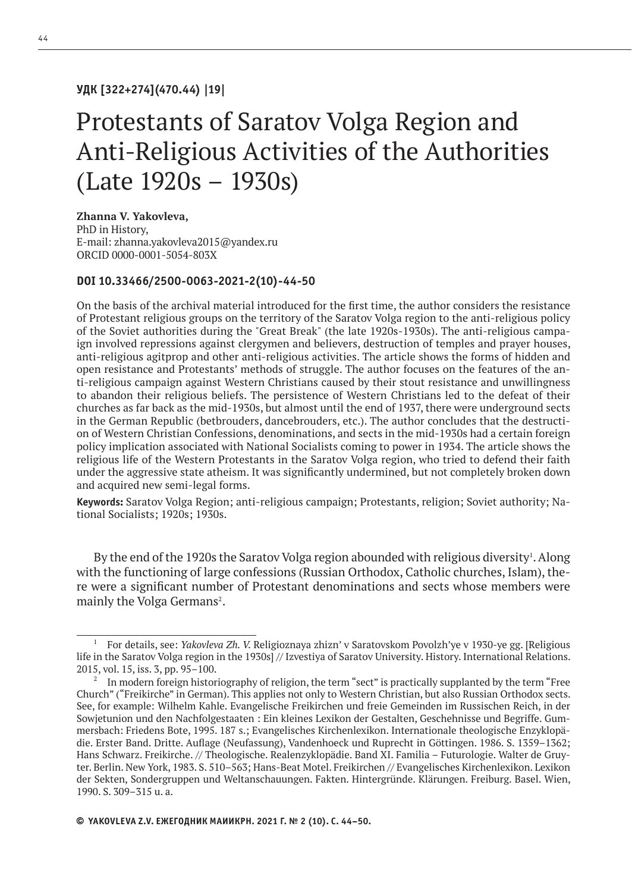### **УДК [322+274](470.44) |19|**

# Protestants of Saratov Volga Region and Anti-Religious Activities of the Authorities (Late 1920s – 1930s)

### **Zhanna V. Yakovleva,**

PhD in History, E-mail: zhanna.yakovleva2015@yandex.ru ORСID 0000-0001-5054-803X

### **DOI 10.33466/2500-0063-2021-2(10)-44-50**

On the basis of the archival material introduced for the first time, the author considers the resistance of Protestant religious groups on the territory of the Saratov Volga region to the anti-religious policy of the Soviet authorities during the "Great Break" (the late 1920s-1930s). The anti-religious campaign involved repressions against clergymen and believers, destruction of temples and prayer houses, anti-religious agitprop and other anti-religious activities. The article shows the forms of hidden and open resistance and Protestants' methods of struggle. The author focuses on the features of the anti-religious campaign against Western Christians caused by their stout resistance and unwillingness to abandon their religious beliefs. The persistence of Western Christians led to the defeat of their churches as far back as the mid-1930s, but almost until the end of 1937, there were underground sects in the German Republic (betbrouders, dancebrouders, etc.). The author concludes that the destruction of Western Christian Confessions, denominations, and sects in the mid-1930s had a certain foreign policy implication associated with National Socialists coming to power in 1934. The article shows the religious life of the Western Protestants in the Saratov Volga region, who tried to defend their faith under the aggressive state atheism. It was significantly undermined, but not completely broken down and acquired new semi-legal forms.

**Keywords:** Saratov Volga Region; anti-religious campaign; Protestants, religion; Soviet authority; National Socialists; 1920s; 1930s.

By the end of the 1920s the Saratov Volga region abounded with religious diversity<sup>1</sup>. Along with the functioning of large confessions (Russian Orthodox, Catholic churches, Islam), there were a significant number of Protestant denominations and sects whose members were mainly the Volga Germans<sup>2</sup>.

<sup>1</sup> For details, see: *Yakovleva Zh. V.* Religioznaya zhizn' v Saratovskom Povolzh'ye v 1930-ye gg. [Religious life in the Saratov Volga region in the 1930s] // Izvestiya of Saratov University. History. International Relations. 2015, vol. 15, iss. 3, pp. 95–100.

<sup>&</sup>lt;sup>2</sup> In modern foreign historiography of religion, the term "sect" is practically supplanted by the term "Free Church" ("Freikirche" in German). This applies not only to Western Christian, but also Russian Orthodox sects. See, for example: Wilhelm Kahle. Evangelische Freikirchen und freie Gemeinden im Russischen Reich, in der Sowjetunion und den Nachfolgestaaten : Ein kleines Lexikon der Gestalten, Geschehnisse und Begriffe. Gummersbach: Friedens Bote, 1995. 187 s.; Evangelisches Kirchenlexikon. Internationale theologische Enzyklopädie. Erster Band. Dritte. Auflage (Neufassung), Vandenhoeck und Ruprecht in Göttingen. 1986. S. 1359–1362; Hans Schwarz. Freikirche. // Theologische. Realenzyklopädie. Band XI. Familia – Futurologie. Walter de Gruyter. Berlin. New York, 1983. S. 510–563; Hans-Beat Motel. Freikirchen // Evangelisches Kirchenlexikon. Lexikon der Sekten, Sondergruppen und Weltanschauungen. Fakten. Hintergründe. Klärungen. Freiburg. Basel. Wien, 1990. S. 309–315 u. a.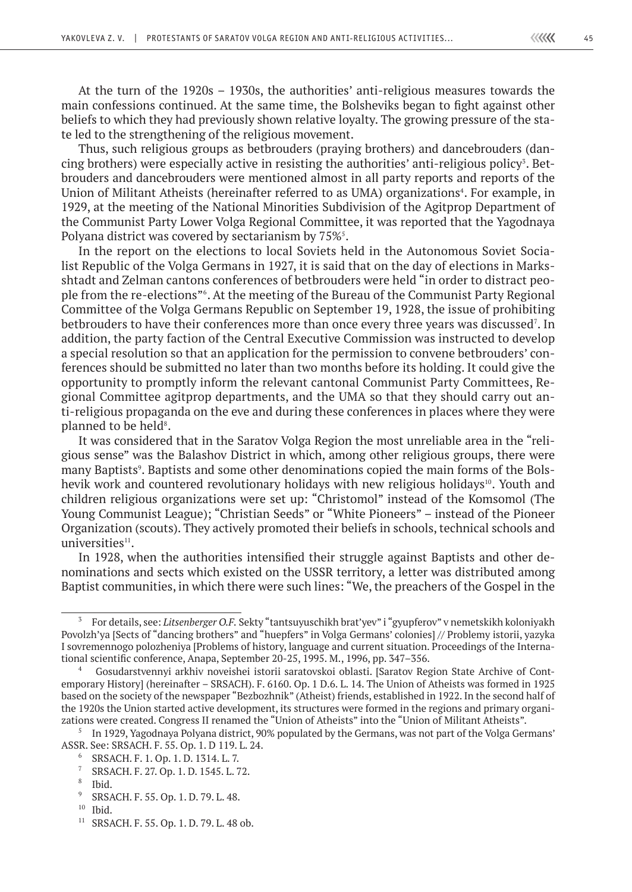At the turn of the 1920s – 1930s, the authorities' anti-religious measures towards the main confessions continued. At the same time, the Bolsheviks began to fight against other beliefs to which they had previously shown relative loyalty. The growing pressure of the state led to the strengthening of the religious movement.

Thus, such religious groups as betbrouders (praying brothers) and dancebrouders (dancing brothers) were especially active in resisting the authorities' anti-religious policy<sup>3</sup>. Betbrouders and dancebrouders were mentioned almost in all party reports and reports of the Union of Militant Atheists (hereinafter referred to as UMA) organizations<sup>4</sup>. For example, in 1929, at the meeting of the National Minorities Subdivision of the Agitprop Department of the Communist Party Lower Volga Regional Committee, it was reported that the Yagodnaya Polyana district was covered by sectarianism by  $75\%$ <sup>5</sup>.

In the report on the elections to local Soviets held in the Autonomous Soviet Socialist Republic of the Volga Germans in 1927, it is said that on the day of elections in Marksshtadt and Zelman cantons conferences of betbrouders were held "in order to distract people from the re-elections"6 . At the meeting of the Bureau of the Communist Party Regional Committee of the Volga Germans Republic on September 19, 1928, the issue of prohibiting betbrouders to have their conferences more than once every three years was discussed<sup>7</sup>. In addition, the party faction of the Central Executive Commission was instructed to develop a special resolution so that an application for the permission to convene betbrouders' conferences should be submitted no later than two months before its holding. It could give the opportunity to promptly inform the relevant cantonal Communist Party Committees, Regional Committee agitprop departments, and the UMA so that they should carry out anti-religious propaganda on the eve and during these conferences in places where they were planned to be held<sup>8</sup>.

It was considered that in the Saratov Volga Region the most unreliable area in the "religious sense" was the Balashov District in which, among other religious groups, there were many Baptists<sup>9</sup>. Baptists and some other denominations copied the main forms of the Bolshevik work and countered revolutionary holidays with new religious holidays<sup>10</sup>. Youth and children religious organizations were set up: "Christomol" instead of the Komsomol (The Young Communist League); "Christian Seeds" or "White Pioneers" – instead of the Pioneer Organization (scouts). They actively promoted their beliefs in schools, technical schools and universities<sup>11</sup>.

In 1928, when the authorities intensified their struggle against Baptists and other denominations and sects which existed on the USSR territory, a letter was distributed among Baptist communities, in which there were such lines: "We, the preachers of the Gospel in the

<sup>11</sup> SRSACH. F. 55. Op. 1. D. 79. L. 48 ob.

<sup>3</sup> For details, see: *Litsenberger O.F.* Sekty "tantsuyuschikh brat'yev" i "gyupferov" v nemetskikh koloniyakh Povolzh'ya [Sects of "dancing brothers" and "huepfers" in Volga Germans' colonies] // Problemy istorii, yazyka I sovremennogo polozheniya [Problems of history, language and current situation. Proceedings of the International scientific conference, Anapa, September 20-25, 1995. M., 1996, pp. 347–356.

<sup>4</sup> Gosudarstvennyi arkhiv noveishei istorii saratovskoi oblasti. [Saratov Region State Archive of Contemporary History] (hereinafter – SRSACH). F. 6160. Op. 1 D.6. L. 14. The Union of Atheists was formed in 1925 based on the society of the newspaper "Bezbozhnik" (Atheist) friends, established in 1922. In the second half of the 1920s the Union started active development, its structures were formed in the regions and primary organizations were created. Congress II renamed the "Union of Atheists" into the "Union of Militant Atheists".

<sup>&</sup>lt;sup>5</sup> In 1929, Yagodnaya Polyana district, 90% populated by the Germans, was not part of the Volga Germans' ASSR. See: SRSACH. F. 55. Op. 1. D 119. L. 24.

<sup>6</sup> SRSACH. F. 1. Op. 1. D. 1314. L. 7.

<sup>7</sup> SRSACH. F. 27. Op. 1. D. 1545. L. 72.

 $\frac{8}{9}$  Ibid.

<sup>9</sup> SRSACH. F. 55. Op. 1. D. 79. L. 48.

 $10$  Ibid.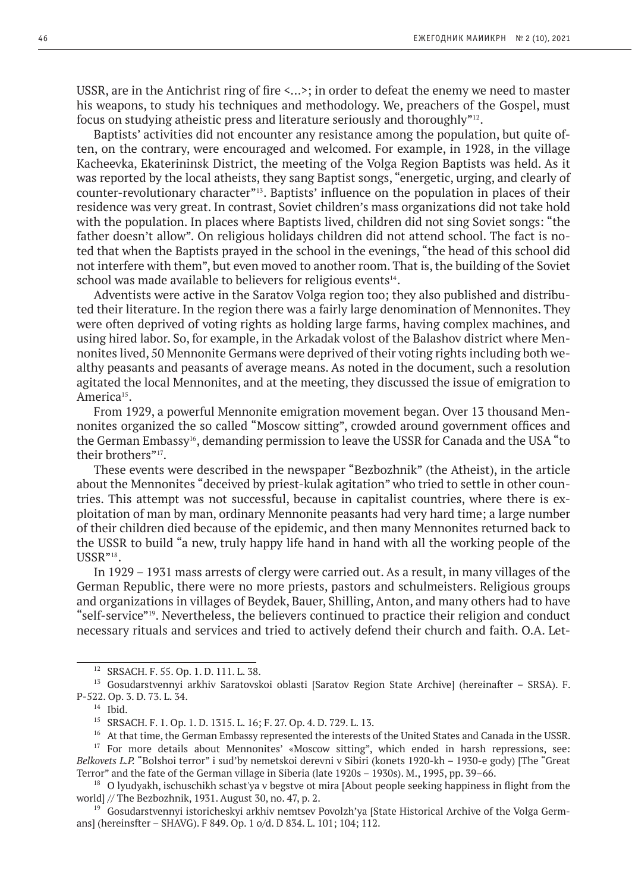USSR, are in the Antichrist ring of fire <...>; in order to defeat the enemy we need to master his weapons, to study his techniques and methodology. We, preachers of the Gospel, must focus on studying atheistic press and literature seriously and thoroughly"12.

Baptists' activities did not encounter any resistance among the population, but quite often, on the contrary, were encouraged and welcomed. For example, in 1928, in the village Kacheevka, Ekaterininsk District, the meeting of the Volga Region Baptists was held. As it was reported by the local atheists, they sang Baptist songs, "energetic, urging, and clearly of counter-revolutionary character"13. Baptists' influence on the population in places of their residence was very great. In contrast, Soviet children's mass organizations did not take hold with the population. In places where Baptists lived, children did not sing Soviet songs: "the father doesn't allow". On religious holidays children did not attend school. The fact is noted that when the Baptists prayed in the school in the evenings, "the head of this school did not interfere with them", but even moved to another room. That is, the building of the Soviet school was made available to believers for religious events<sup>14</sup>.

Adventists were active in the Saratov Volga region too; they also published and distributed their literature. In the region there was a fairly large denomination of Mennonites. They were often deprived of voting rights as holding large farms, having complex machines, and using hired labor. So, for example, in the Arkadak volost of the Balashov district where Mennonites lived, 50 Mennonite Germans were deprived of their voting rights including both wealthy peasants and peasants of average means. As noted in the document, such a resolution agitated the local Mennonites, and at the meeting, they discussed the issue of emigration to America<sup>15</sup>.

From 1929, a powerful Mennonite emigration movement began. Over 13 thousand Mennonites organized the so called "Moscow sitting", crowded around government offices and the German Embassy<sup>16</sup>, demanding permission to leave the USSR for Canada and the USA "to their brothers"<sup>17</sup>.

These events were described in the newspaper "Bezbozhnik" (the Atheist), in the article about the Mennonites "deceived by priest-kulak agitation" who tried to settle in other countries. This attempt was not successful, because in capitalist countries, where there is exploitation of man by man, ordinary Mennonite peasants had very hard time; a large number of their children died because of the epidemic, and then many Mennonites returned back to the USSR to build "a new, truly happy life hand in hand with all the working people of the USSR"<sup>18</sup>.

In 1929 – 1931 mass arrests of clergy were carried out. As a result, in many villages of the German Republic, there were no more priests, pastors and schulmeisters. Religious groups and organizations in villages of Beydek, Bauer, Shilling, Anton, and many others had to have "self-service"19. Nevertheless, the believers continued to practice their religion and conduct necessary rituals and services and tried to actively defend their church and faith. O.A. Let-

<sup>12</sup> SRSACH. F. 55. Op. 1. D. 111. L. 38.

<sup>&</sup>lt;sup>13</sup> Gosudarstvennyi arkhiv Saratovskoi oblasti [Saratov Region State Archive] (hereinafter – SRSA). F. P-522. Op. 3. D. 73. L. 34.

<sup>14</sup> Ibid.

<sup>15</sup> SRSACH. F. 1. Op. 1. D. 1315. L. 16; F. 27. Op. 4. D. 729. L. 13.

<sup>&</sup>lt;sup>16</sup> At that time, the German Embassy represented the interests of the United States and Canada in the USSR.

<sup>&</sup>lt;sup>17</sup> For more details about Mennonites' «Moscow sitting", which ended in harsh repressions, see: *Belkovets L.P.* "Bolshoi terror" i sud'by nemetskoi derevni v Sibiri (konets 1920-kh – 1930-e gody) [The "Great Terror" and the fate of the German village in Siberia (late 1920s – 1930s). M., 1995, pp. 39–66.

<sup>&</sup>lt;sup>18</sup> O lyudyakh, ischuschikh schast'ya v begstve ot mira [About people seeking happiness in flight from the world] // The Bezbozhnik, 1931. August 30, no. 47, p. 2.

<sup>&</sup>lt;sup>19</sup> Gosudarstvennyi istoricheskyi arkhiv nemtsev Povolzh'ya [State Historical Archive of the Volga Germans] (hereinsfter – SHAVG). F 849. Op. 1 o/d. D 834. L. 101; 104; 112.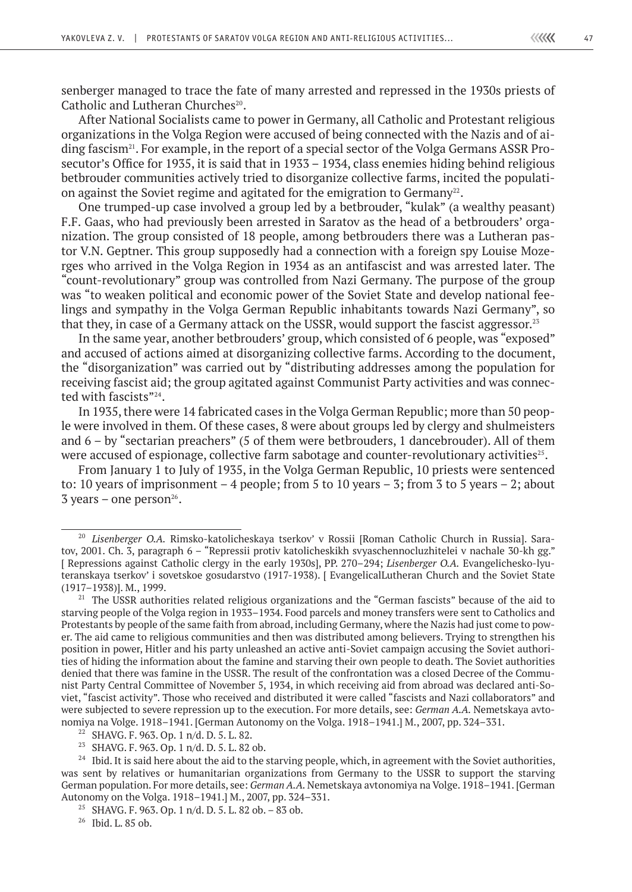senberger managed to trace the fate of many arrested and repressed in the 1930s priests of Catholic and Lutheran Churches<sup>20</sup>.

After National Socialists came to power in Germany, all Catholic and Protestant religious organizations in the Volga Region were accused of being connected with the Nazis and of aiding fascism<sup>21</sup>. For example, in the report of a special sector of the Volga Germans ASSR Prosecutor's Office for 1935, it is said that in 1933 – 1934, class enemies hiding behind religious betbrouder communities actively tried to disorganize collective farms, incited the population against the Soviet regime and agitated for the emigration to Germany<sup>22</sup>.

One trumped-up case involved a group led by a betbrouder, "kulak" (a wealthy peasant) F.F. Gaas, who had previously been arrested in Saratov as the head of a betbrouders' organization. The group consisted of 18 people, among betbrouders there was a Lutheran pastor V.N. Geptner. This group supposedly had a connection with a foreign spy Louise Mozerges who arrived in the Volga Region in 1934 as an antifascist and was arrested later. The "count-revolutionary" group was controlled from Nazi Germany. The purpose of the group was "to weaken political and economic power of the Soviet State and develop national feelings and sympathy in the Volga German Republic inhabitants towards Nazi Germany", so that they, in case of a Germany attack on the USSR, would support the fascist aggressor.<sup>23</sup>

In the same year, another betbrouders' group, which consisted of 6 people, was "exposed" and accused of actions aimed at disorganizing collective farms. According to the document, the "disorganization" was carried out by "distributing addresses among the population for receiving fascist aid; the group agitated against Communist Party activities and was connected with fascists"<sup>24</sup>.

In 1935, there were 14 fabricated cases in the Volga German Republic; more than 50 people were involved in them. Of these cases, 8 were about groups led by clergy and shulmeisters and 6 – by "sectarian preachers" (5 of them were betbrouders, 1 dancebrouder). All of them were accused of espionage, collective farm sabotage and counter-revolutionary activities<sup>25</sup>.

From January 1 to July of 1935, in the Volga German Republic, 10 priests were sentenced to: 10 years of imprisonment  $-4$  people; from 5 to 10 years  $-3$ ; from 3 to 5 years  $-2$ ; about  $3$  years – one person<sup>26</sup>.

<sup>20</sup> *Lisenberger O.A.* Rimsko-katolicheskaya tserkov' v Rossii [Roman Catholic Church in Russia]. Saratov, 2001. Ch. 3, paragraph 6 – "Repressii protiv katolicheskikh svyaschennocluzhitelei v nachale 30-kh gg." [ Repressions against Catholic clergy in the early 1930s], PP. 270–294; *Lisenberger O.A.* Evangelichesko-lyuteranskaya tserkov' i sovetskoe gosudarstvo (1917-1938). [ EvangelicalLutheran Church and the Soviet State (1917–1938)]. M., 1999.

<sup>&</sup>lt;sup>21</sup> The USSR authorities related religious organizations and the "German fascists" because of the aid to starving people of the Volga region in 1933–1934. Food parcels and money transfers were sent to Catholics and Protestants by people of the same faith from abroad, including Germany, where the Nazis had just come to power. The aid came to religious communities and then was distributed among believers. Trying to strengthen his position in power, Hitler and his party unleashed an active anti-Soviet campaign accusing the Soviet authorities of hiding the information about the famine and starving their own people to death. The Soviet authorities denied that there was famine in the USSR. The result of the confrontation was a closed Decree of the Communist Party Central Committee of November 5, 1934, in which receiving aid from abroad was declared anti-Soviet, "fascist activity". Those who received and distributed it were called "fascists and Nazi collaborators" and were subjected to severe repression up to the execution. For more details, see: *German A.A.* Nemetskaya avtonomiya na Volge. 1918–1941. [German Autonomy on the Volga. 1918–1941.] M., 2007, pp. 324–331.

<sup>22</sup> SHAVG. F. 963. Op. 1 n/d. D. 5. L. 82.

<sup>23</sup> SHAVG. F. 963. Op. 1 n/d. D. 5. L. 82 ob.

<sup>&</sup>lt;sup>24</sup> Ibid. It is said here about the aid to the starving people, which, in agreement with the Soviet authorities, was sent by relatives or humanitarian organizations from Germany to the USSR to support the starving German population. For more details, see: *German A.A.* Nemetskaya avtonomiya na Volge. 1918–1941. [German Autonomy on the Volga. 1918–1941.] M., 2007, pp. 324–331.

<sup>&</sup>lt;sup>25</sup> SHAVG, F, 963, Op. 1 n/d, D, 5, L, 82 ob. – 83 ob.

<sup>26</sup> Ibid. L. 85 ob.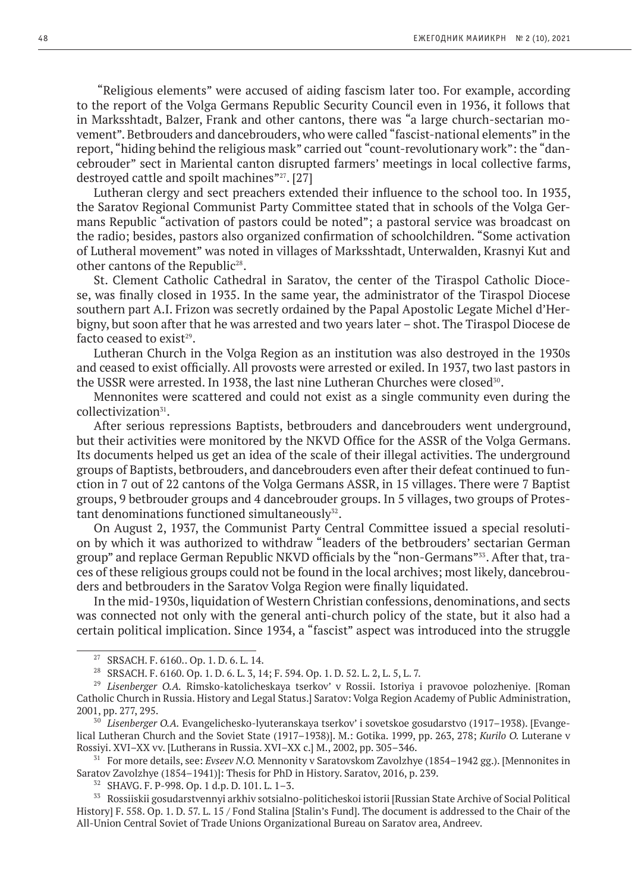"Religious elements" were accused of aiding fascism later too. For example, according to the report of the Volga Germans Republic Security Council even in 1936, it follows that in Marksshtadt, Balzer, Frank and other cantons, there was "a large church-sectarian movement". Betbrouders and dancebrouders, who were called "fascist-national elements" in the report, "hiding behind the religious mask" carried out "count-revolutionary work": the "dancebrouder" sect in Mariental canton disrupted farmers' meetings in local collective farms, destroyed cattle and spoilt machines"27. [27]

Lutheran clergy and sect preachers extended their influence to the school too. In 1935, the Saratov Regional Communist Party Committee stated that in schools of the Volga Germans Republic "activation of pastors could be noted"; a pastoral service was broadcast on the radio; besides, pastors also organized confirmation of schoolchildren. "Some activation of Lutheral movement" was noted in villages of Marksshtadt, Unterwalden, Krasnyi Kut and other cantons of the Republic<sup>28</sup>.

St. Clement Catholic Cathedral in Saratov, the center of the Tiraspol Catholic Diocese, was finally closed in 1935. In the same year, the administrator of the Tiraspol Diocese southern part A.I. Frizon was secretly ordained by the Papal Apostolic Legate Michel d'Herbigny, but soon after that he was arrested and two years later – shot. The Tiraspol Diocese de facto ceased to exist $29$ .

Lutheran Church in the Volga Region as an institution was also destroyed in the 1930s and ceased to exist officially. All provosts were arrested or exiled. In 1937, two last pastors in the USSR were arrested. In 1938, the last nine Lutheran Churches were closed<sup>30</sup>.

Mennonites were scattered and could not exist as a single community even during the collectivization<sup>31</sup>.

After serious repressions Baptists, betbrouders and dancebrouders went underground, but their activities were monitored by the NKVD Office for the ASSR of the Volga Germans. Its documents helped us get an idea of the scale of their illegal activities. The underground groups of Baptists, betbrouders, and dancebrouders even after their defeat continued to function in 7 out of 22 cantons of the Volga Germans ASSR, in 15 villages. There were 7 Baptist groups, 9 betbrouder groups and 4 dancebrouder groups. In 5 villages, two groups of Protestant denominations functioned simultaneously<sup>32</sup>.

On August 2, 1937, the Communist Party Central Committee issued a special resolution by which it was authorized to withdraw "leaders of the betbrouders' sectarian German group" and replace German Republic NKVD officials by the "non-Germans"33. After that, traces of these religious groups could not be found in the local archives; most likely, dancebrouders and betbrouders in the Saratov Volga Region were finally liquidated.

In the mid-1930s, liquidation of Western Christian confessions, denominations, and sects was connected not only with the general anti-church policy of the state, but it also had a certain political implication. Since 1934, a "fascist" aspect was introduced into the struggle

<sup>27</sup> SRSACH. F. 6160.. Op. 1. D. 6. L. 14.

<sup>28</sup> SRSACH. F. 6160. Op. 1. D. 6. L. 3, 14; F. 594. Op. 1. D. 52. L. 2, L. 5, L. 7.

<sup>&</sup>lt;sup>29</sup> Lisenberger O.A. Rimsko-katolicheskaya tserkov' v Rossii. Istoriya i pravovoe polozheniye. [Roman Catholic Church in Russia. History and Legal Status.] Saratov: Volga Region Academy of Public Administration, 2001, pp. 277, 295.

<sup>30</sup> *Lisenberger O.A.* Evangelichesko-lyuteranskaya tserkov' i sovetskoe gosudarstvo (1917–1938). [Evangelical Lutheran Church and the Soviet State (1917–1938)]. M.: Gotika. 1999, pp. 263, 278; *Kurilo O.* Luterane v Rossiyi. XVI–XX vv. [Lutherans in Russia. XVI–XX c.] M., 2002, pp. 305–346.

<sup>&</sup>lt;sup>31</sup> For more details, see: *Evseev N.O.* Mennonity v Saratovskom Zavolzhye (1854–1942 gg.). [Mennonites in Saratov Zavolzhye (1854–1941)]: Thesis for PhD in History. Saratov, 2016, p. 239.

<sup>32</sup> SHAVG. F. P-998. Op. 1 d.p. D. 101. L. 1–3.

<sup>33</sup> Rossiiskii gosudarstvennyi arkhiv sotsialno-politicheskoi istorii [Russian State Archive of Social Political History] F. 558. Op. 1. D. 57. L. 15 / Fond Stalina [Stalin's Fund]. The document is addressed to the Chair of the All-Union Central Soviet of Trade Unions Organizational Bureau on Saratov area, Andreev.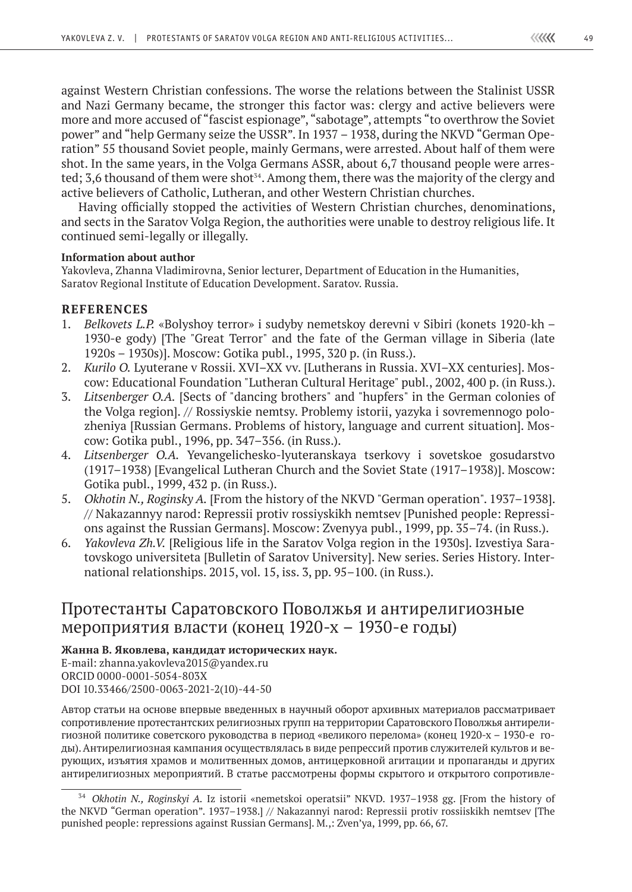against Western Christian confessions. The worse the relations between the Stalinist USSR and Nazi Germany became, the stronger this factor was: clergy and active believers were more and more accused of "fascist espionage", "sabotage", attempts "to overthrow the Soviet power" and "help Germany seize the USSR". In 1937 – 1938, during the NKVD "German Operation" 55 thousand Soviet people, mainly Germans, were arrested. About half of them were shot. In the same years, in the Volga Germans ASSR, about 6,7 thousand people were arrested; 3,6 thousand of them were shot<sup> $54$ </sup>. Among them, there was the majority of the clergy and active believers of Catholic, Lutheran, and other Western Christian churches.

Having officially stopped the activities of Western Christian churches, denominations, and sects in the Saratov Volga Region, the authorities were unable to destroy religious life. It continued semi-legally or illegally.

### **Information аbout author**

Yakovleva, Zhanna Vladimirovna, Senior lecturer, Department of Education in the Humanities, Saratov Regional Institute of Education Development. Saratov. Russia.

### **REFERENCES**

- 1. *Belkovets L.P.* «Bolyshoy terror» i sudyby nemetskoy derevni v Sibiri (konets 1920-kh 1930-e gody) [The "Great Terror" and the fate of the German village in Siberia (late 1920s – 1930s)]. Moscow: Gotika publ., 1995, 320 p. (in Russ.).
- 2. *Kurilo O.* Lyuterane v Rossii. XVI–XX vv. [Lutherans in Russia. XVI–XX centuries]. Moscow: Educational Foundation "Lutheran Cultural Heritage" publ., 2002, 400 p. (in Russ.).
- 3. *Litsenberger O.A.* [Sects of "dancing brothers" and "hupfers" in the German colonies of the Volga region]. // Rossiyskie nemtsy. Problemy istorii, yazyka i sovremennogo polozheniya [Russian Germans. Problems of history, language and current situation]. Moscow: Gotika publ., 1996, pp. 347–356. (in Russ.).
- 4. *Litsenberger O.A.* Yevangelichesko-lyuteranskaya tserkovy i sovetskoe gosudarstvo (1917–1938) [Evangelical Lutheran Church and the Soviet State (1917–1938)]. Moscow: Gotika publ., 1999, 432 p. (in Russ.).
- 5. *Okhotin N., Roginsky A.* [From the history of the NKVD "German operation". 1937–1938]. // Nakazannyy narod: Repressii protiv rossiyskikh nemtsev [Punished people: Repressions against the Russian Germans]. Мoscow: Zvenyya publ., 1999, pp. 35–74. (in Russ.).
- 6. *Yakovleva Zh.V.* [Religious life in the Saratov Volga region in the 1930s]. Izvestiya Saratovskogo universiteta [Bulletin of Saratov University]. New series. Series History. International relationships. 2015, vol. 15, iss. 3, pp. 95–100. (in Russ.).

### Протестанты Саратовского Поволжья и антирелигиозные мероприятия власти (конец 1920-х – 1930-е годы)

### **Жанна В. Яковлева, кандидат исторических наук.**

E-mail: zhanna.yakovleva2015@yandex.ru ORСID 0000-0001-5054-803X DOI 10.33466/2500-0063-2021-2(10)-44-50

Автор статьи на основе впервые введенных в научный оборот архивных материалов рассматривает сопротивление протестантских религиозных групп на территории Саратовского Поволжья антирелигиозной политике советского руководства в период «великого перелома» (конец 1920-х – 1930-е годы). Антирелигиозная кампания осуществлялась в виде репрессий против служителей культов и верующих, изъятия храмов и молитвенных домов, антицерковной агитации и пропаганды и других антирелигиозных мероприятий. В статье рассмотрены формы скрытого и открытого сопротивле-

<sup>34</sup> *Okhotin N., Roginskyi A.* Iz istorii «nemetskoi operatsii" NKVD. 1937–1938 gg. [From the history of the NKVD "German operation". 1937–1938.] // Nakazannyi narod: Repressii protiv rossiiskikh nemtsev [The punished people: repressions against Russian Germans]. M.,: Zven'ya, 1999, pp. 66, 67.